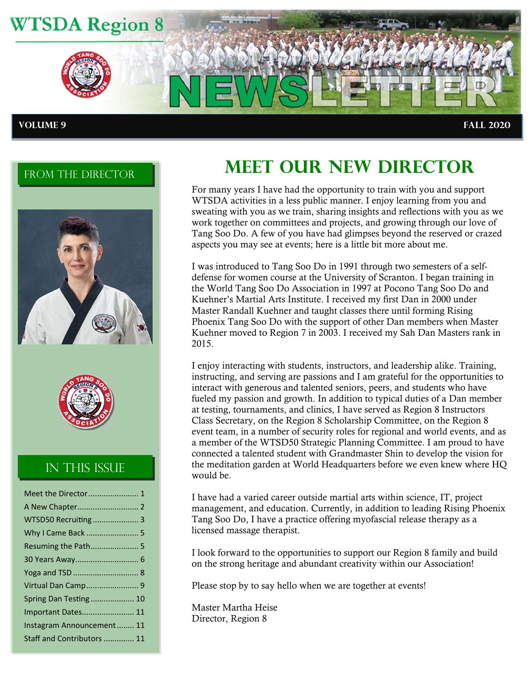

### FROM THE DIRECTOR





### In this Issue

| Meet the Director  1       |
|----------------------------|
|                            |
| WTSD50 Recruiting 3        |
| Why I Came Back  5         |
| Resuming the Path 5        |
| 30 Years Away 6            |
|                            |
| Virtual Dan Camp 9         |
| Spring Dan Testing 10      |
| <b>Important Dates 11</b>  |
| Instagram Announcement 11  |
| Staff and Contributors  11 |

# **MEET OUR NEW DIRECTOR**

For many years I have had the opportunity to train with you and support WTSDA activities in a less public manner. I enjoy learning from you and sweating with you as we train, sharing insights and reflections with you as we work together on committees and projects, and growing through our love of Tang Soo Do. A few of you have had glimpses beyond the reserved or crazed aspects you may see at events; here is a little bit more about me.

I was introduced to Tang Soo Do in 1991 through two semesters of a selfdefense for women course at the University of Scranton. I began training in the World Tang Soo Do Association in 1997 at Pocono Tang Soo Do and Kuehner's Martial Arts Institute. I received my first Dan in 2000 under Master Randall Kuehner and taught classes there until forming Rising Phoenix Tang Soo Do with the support of other Dan members when Master Kuehner moved to Region 7 in 2003. I received my Sah Dan Masters rank in 2015.

I enjoy interacting with students, instructors, and leadership alike. Training, instructing, and serving are passions and I am grateful for the opportunities to interact with generous and talented seniors, peers, and students who have fueled my passion and growth. In addition to typical duties of a Dan member at testing, tournaments, and clinics, I have served as Region 8 Instructors Class Secretary, on the Region 8 Scholarship Committee, on the Region 8 event team, in a number of security roles for regional and world events, and as a member of the WTSD50 Strategic Planning Committee. I am proud to have connected a talented student with Grandmaster Shin to develop the vision for the meditation garden at World Headquarters before we even knew where HQ would be.

I have had a varied career outside martial arts within science, IT, project management, and education. Currently, in addition to leading Rising Phoenix Tang Soo Do, I have a practice offering myofascial release therapy as a licensed massage therapist.

I look forward to the opportunities to support our Region 8 family and build on the strong heritage and abundant creativity within our Association!

Please stop by to say hello when we are together at events!

Master Martha Heise Director, Region 8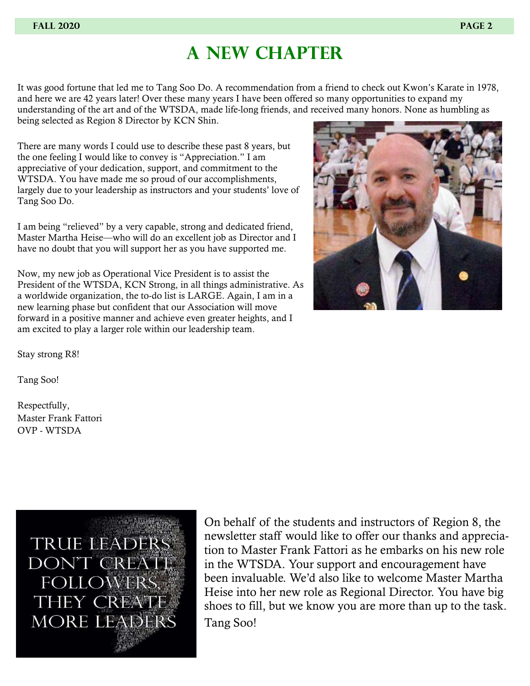### **A new chapter**

It was good fortune that led me to Tang Soo Do. A recommendation from a friend to check out Kwon's Karate in 1978, and here we are 42 years later! Over these many years I have been offered so many opportunities to expand my understanding of the art and of the WTSDA, made life-long friends, and received many honors. None as humbling as being selected as Region 8 Director by KCN Shin.

There are many words I could use to describe these past 8 years, but the one feeling I would like to convey is "Appreciation." I am appreciative of your dedication, support, and commitment to the WTSDA. You have made me so proud of our accomplishments, largely due to your leadership as instructors and your students' love of Tang Soo Do.

I am being "relieved" by a very capable, strong and dedicated friend, Master Martha Heise—who will do an excellent job as Director and I have no doubt that you will support her as you have supported me.

Now, my new job as Operational Vice President is to assist the President of the WTSDA, KCN Strong, in all things administrative. As a worldwide organization, the to-do list is LARGE. Again, I am in a new learning phase but confident that our Association will move forward in a positive manner and achieve even greater heights, and I am excited to play a larger role within our leadership team.



Stay strong R8!

Tang Soo!

Respectfully, Master Frank Fattori OVP - WTSDA



On behalf of the students and instructors of Region 8, the newsletter staff would like to offer our thanks and appreciation to Master Frank Fattori as he embarks on his new role in the WTSDA. Your support and encouragement have been invaluable. We'd also like to welcome Master Martha Heise into her new role as Regional Director. You have big shoes to fill, but we know you are more than up to the task. Tang Soo!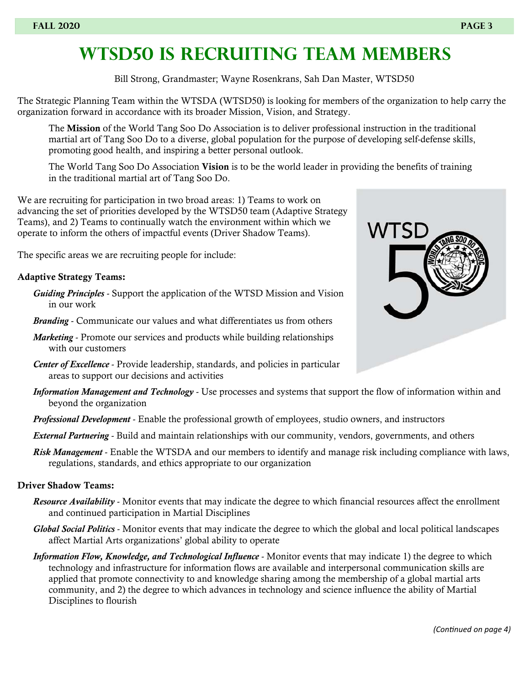## **Wtsd50 Is recruiting Team members**

Bill Strong, Grandmaster; Wayne Rosenkrans, Sah Dan Master, WTSD50

The Strategic Planning Team within the WTSDA (WTSD50) is looking for members of the organization to help carry the organization forward in accordance with its broader Mission, Vision, and Strategy.

The Mission of the World Tang Soo Do Association is to deliver professional instruction in the traditional martial art of Tang Soo Do to a diverse, global population for the purpose of developing self-defense skills, promoting good health, and inspiring a better personal outlook.

The World Tang Soo Do Association Vision is to be the world leader in providing the benefits of training in the traditional martial art of Tang Soo Do.

We are recruiting for participation in two broad areas: 1) Teams to work on advancing the set of priorities developed by the WTSD50 team (Adaptive Strategy Teams), and 2) Teams to continually watch the environment within which we operate to inform the others of impactful events (Driver Shadow Teams).

The specific areas we are recruiting people for include:

#### Adaptive Strategy Teams:

- *Guiding Principles* Support the application of the WTSD Mission and Vision in our work
- *Branding* Communicate our values and what differentiates us from others
- *Marketing* Promote our services and products while building relationships with our customers
- *Center of Excellence* Provide leadership, standards, and policies in particular areas to support our decisions and activities
- *Information Management and Technology* Use processes and systems that support the flow of information within and beyond the organization
- *Professional Development* Enable the professional growth of employees, studio owners, and instructors
- *External Partnering* Build and maintain relationships with our community, vendors, governments, and others
- *Risk Management* Enable the WTSDA and our members to identify and manage risk including compliance with laws, regulations, standards, and ethics appropriate to our organization

#### Driver Shadow Teams:

- *Resource Availability* Monitor events that may indicate the degree to which financial resources affect the enrollment and continued participation in Martial Disciplines
- *Global Social Politics* Monitor events that may indicate the degree to which the global and local political landscapes affect Martial Arts organizations' global ability to operate
- *Information Flow, Knowledge, and Technological Influence* Monitor events that may indicate 1) the degree to which technology and infrastructure for information flows are available and interpersonal communication skills are applied that promote connectivity to and knowledge sharing among the membership of a global martial arts community, and 2) the degree to which advances in technology and science influence the ability of Martial Disciplines to flourish

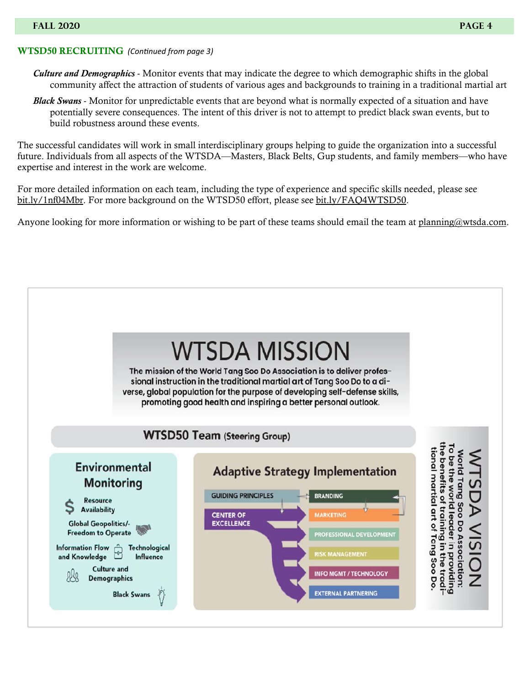#### WTSD50 RECRUITING*(ConƟnued from page 3)*

- *Culture and Demographics* Monitor events that may indicate the degree to which demographic shifts in the global community affect the attraction of students of various ages and backgrounds to training in a traditional martial art
- *Black Swans* Monitor for unpredictable events that are beyond what is normally expected of a situation and have potentially severe consequences. The intent of this driver is not to attempt to predict black swan events, but to build robustness around these events.

The successful candidates will work in small interdisciplinary groups helping to guide the organization into a successful future. Individuals from all aspects of the WTSDA—Masters, Black Belts, Gup students, and family members—who have expertise and interest in the work are welcome.

For more detailed information on each team, including the type of experience and specific skills needed, please see bit.ly/1nf04Mbr. For more background on the WTSD50 effort, please see bit.ly/FAQ4WTSD50.

Anyone looking for more information or wishing to be part of these teams should email the team at planning@wtsda.com.

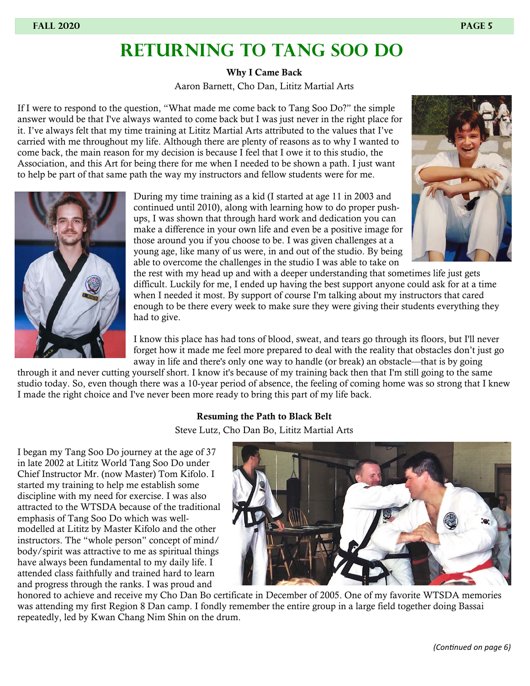### **RETURNING TO TANG SOO DO**

Why I Came Back

Aaron Barnett, Cho Dan, Lititz Martial Arts

If I were to respond to the question, "What made me come back to Tang Soo Do?" the simple answer would be that I've always wanted to come back but I was just never in the right place for it. I've always felt that my time training at Lititz Martial Arts attributed to the values that I've carried with me throughout my life. Although there are plenty of reasons as to why I wanted to come back, the main reason for my decision is because I feel that I owe it to this studio, the Association, and this Art for being there for me when I needed to be shown a path. I just want to help be part of that same path the way my instructors and fellow students were for me.



During my time training as a kid (I started at age 11 in 2003 and continued until 2010), along with learning how to do proper pushups, I was shown that through hard work and dedication you can make a difference in your own life and even be a positive image for those around you if you choose to be. I was given challenges at a young age, like many of us were, in and out of the studio. By being able to overcome the challenges in the studio I was able to take on

the rest with my head up and with a deeper understanding that sometimes life just gets difficult. Luckily for me, I ended up having the best support anyone could ask for at a time when I needed it most. By support of course I'm talking about my instructors that cared enough to be there every week to make sure they were giving their students everything they had to give.

I know this place has had tons of blood, sweat, and tears go through its floors, but I'll never forget how it made me feel more prepared to deal with the reality that obstacles don't just go away in life and there's only one way to handle (or break) an obstacle—that is by going

through it and never cutting yourself short. I know it's because of my training back then that I'm still going to the same studio today. So, even though there was a 10‑year period of absence, the feeling of coming home was so strong that I knew I made the right choice and I've never been more ready to bring this part of my life back.

### Resuming the Path to Black Belt

Steve Lutz, Cho Dan Bo, Lititz Martial Arts

I began my Tang Soo Do journey at the age of 37 in late 2002 at Lititz World Tang Soo Do under Chief Instructor Mr. (now Master) Tom Kifolo. I started my training to help me establish some discipline with my need for exercise. I was also attracted to the WTSDA because of the traditional emphasis of Tang Soo Do which was wellmodelled at Lititz by Master Kifolo and the other instructors. The "whole person" concept of mind/ body/spirit was attractive to me as spiritual things have always been fundamental to my daily life. I attended class faithfully and trained hard to learn and progress through the ranks. I was proud and



honored to achieve and receive my Cho Dan Bo certificate in December of 2005. One of my favorite WTSDA memories was attending my first Region 8 Dan camp. I fondly remember the entire group in a large field together doing Bassai repeatedly, led by Kwan Chang Nim Shin on the drum.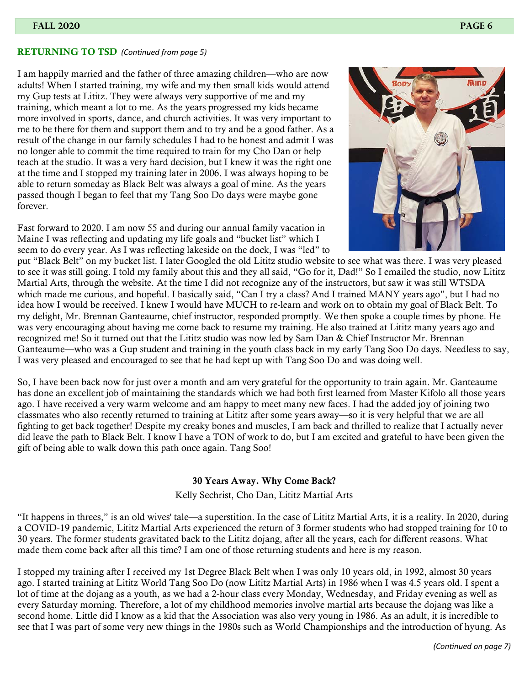#### RETURNING TO TSD*(ConƟnued from page 5)*

I am happily married and the father of three amazing children—who are now adults! When I started training, my wife and my then small kids would attend my Gup tests at Lititz. They were always very supportive of me and my training, which meant a lot to me. As the years progressed my kids became more involved in sports, dance, and church activities. It was very important to me to be there for them and support them and to try and be a good father. As a result of the change in our family schedules I had to be honest and admit I was no longer able to commit the time required to train for my Cho Dan or help teach at the studio. It was a very hard decision, but I knew it was the right one at the time and I stopped my training later in 2006. I was always hoping to be able to return someday as Black Belt was always a goal of mine. As the years passed though I began to feel that my Tang Soo Do days were maybe gone forever.

Fast forward to 2020. I am now 55 and during our annual family vacation in Maine I was reflecting and updating my life goals and "bucket list" which I seem to do every year. As I was reflecting lakeside on the dock, I was "led" to



put "Black Belt" on my bucket list. I later Googled the old Lititz studio website to see what was there. I was very pleased to see it was still going. I told my family about this and they all said, "Go for it, Dad!" So I emailed the studio, now Lititz Martial Arts, through the website. At the time I did not recognize any of the instructors, but saw it was still WTSDA which made me curious, and hopeful. I basically said, "Can I try a class? And I trained MANY years ago", but I had no idea how I would be received. I knew I would have MUCH to re-learn and work on to obtain my goal of Black Belt. To my delight, Mr. Brennan Ganteaume, chief instructor, responded promptly. We then spoke a couple times by phone. He was very encouraging about having me come back to resume my training. He also trained at Lititz many years ago and recognized me! So it turned out that the Lititz studio was now led by Sam Dan & Chief Instructor Mr. Brennan Ganteaume—who was a Gup student and training in the youth class back in my early Tang Soo Do days. Needless to say, I was very pleased and encouraged to see that he had kept up with Tang Soo Do and was doing well.

So, I have been back now for just over a month and am very grateful for the opportunity to train again. Mr. Ganteaume has done an excellent job of maintaining the standards which we had both first learned from Master Kifolo all those years ago. I have received a very warm welcome and am happy to meet many new faces. I had the added joy of joining two classmates who also recently returned to training at Lititz after some years away—so it is very helpful that we are all fighting to get back together! Despite my creaky bones and muscles, I am back and thrilled to realize that I actually never did leave the path to Black Belt. I know I have a TON of work to do, but I am excited and grateful to have been given the gift of being able to walk down this path once again. Tang Soo!

#### 30 Years Away. Why Come Back?

Kelly Sechrist, Cho Dan, Lititz Martial Arts

"It happens in threes," is an old wives' tale—a superstition. In the case of Lititz Martial Arts, it is a reality. In 2020, during a COVID‑19 pandemic, Lititz Martial Arts experienced the return of 3 former students who had stopped training for 10 to 30 years. The former students gravitated back to the Lititz dojang, after all the years, each for different reasons. What made them come back after all this time? I am one of those returning students and here is my reason.

I stopped my training after I received my 1st Degree Black Belt when I was only 10 years old, in 1992, almost 30 years ago. I started training at Lititz World Tang Soo Do (now Lititz Martial Arts) in 1986 when I was 4.5 years old. I spent a lot of time at the dojang as a youth, as we had a 2‑hour class every Monday, Wednesday, and Friday evening as well as every Saturday morning. Therefore, a lot of my childhood memories involve martial arts because the dojang was like a second home. Little did I know as a kid that the Association was also very young in 1986. As an adult, it is incredible to see that I was part of some very new things in the 1980s such as World Championships and the introduction of hyung. As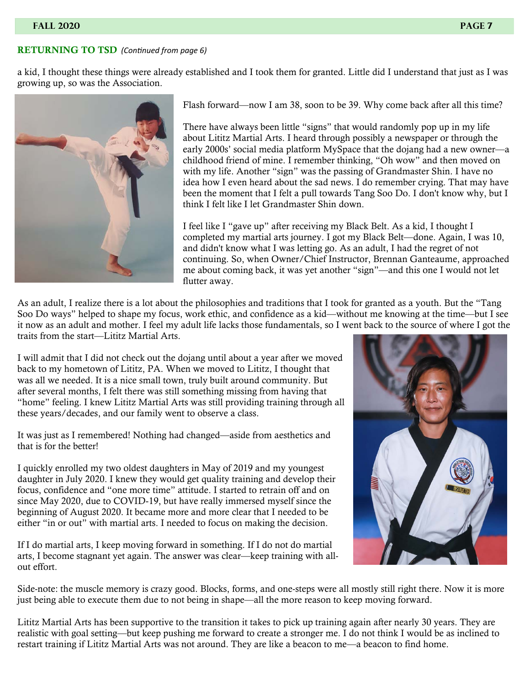#### RETURNING TO TSD*(ConƟnued from page 6)*

a kid, I thought these things were already established and I took them for granted. Little did I understand that just as I was growing up, so was the Association.



Flash forward—now I am 38, soon to be 39. Why come back after all this time?

There have always been little "signs" that would randomly pop up in my life about Lititz Martial Arts. I heard through possibly a newspaper or through the early 2000s' social media platform MySpace that the dojang had a new owner—a childhood friend of mine. I remember thinking, "Oh wow" and then moved on with my life. Another "sign" was the passing of Grandmaster Shin. I have no idea how I even heard about the sad news. I do remember crying. That may have been the moment that I felt a pull towards Tang Soo Do. I don't know why, but I think I felt like I let Grandmaster Shin down.

I feel like I "gave up" after receiving my Black Belt. As a kid, I thought I completed my martial arts journey. I got my Black Belt—done. Again, I was 10, and didn't know what I was letting go. As an adult, I had the regret of not continuing. So, when Owner/Chief Instructor, Brennan Ganteaume, approached me about coming back, it was yet another "sign"—and this one I would not let flutter away.

As an adult, I realize there is a lot about the philosophies and traditions that I took for granted as a youth. But the "Tang Soo Do ways" helped to shape my focus, work ethic, and confidence as a kid—without me knowing at the time—but I see it now as an adult and mother. I feel my adult life lacks those fundamentals, so I went back to the source of where I got the traits from the start—Lititz Martial Arts.

I will admit that I did not check out the dojang until about a year after we moved back to my hometown of Lititz, PA. When we moved to Lititz, I thought that was all we needed. It is a nice small town, truly built around community. But after several months, I felt there was still something missing from having that "home" feeling. I knew Lititz Martial Arts was still providing training through all these years/decades, and our family went to observe a class.

It was just as I remembered! Nothing had changed—aside from aesthetics and that is for the better!

I quickly enrolled my two oldest daughters in May of 2019 and my youngest daughter in July 2020. I knew they would get quality training and develop their focus, confidence and "one more time" attitude. I started to retrain off and on since May 2020, due to COVID-19, but have really immersed myself since the beginning of August 2020. It became more and more clear that I needed to be either "in or out" with martial arts. I needed to focus on making the decision.

If I do martial arts, I keep moving forward in something. If I do not do martial arts, I become stagnant yet again. The answer was clear—keep training with allout effort.



Side-note: the muscle memory is crazy good. Blocks, forms, and one-steps were all mostly still right there. Now it is more just being able to execute them due to not being in shape—all the more reason to keep moving forward.

Lititz Martial Arts has been supportive to the transition it takes to pick up training again after nearly 30 years. They are realistic with goal setting—but keep pushing me forward to create a stronger me. I do not think I would be as inclined to restart training if Lititz Martial Arts was not around. They are like a beacon to me—a beacon to find home.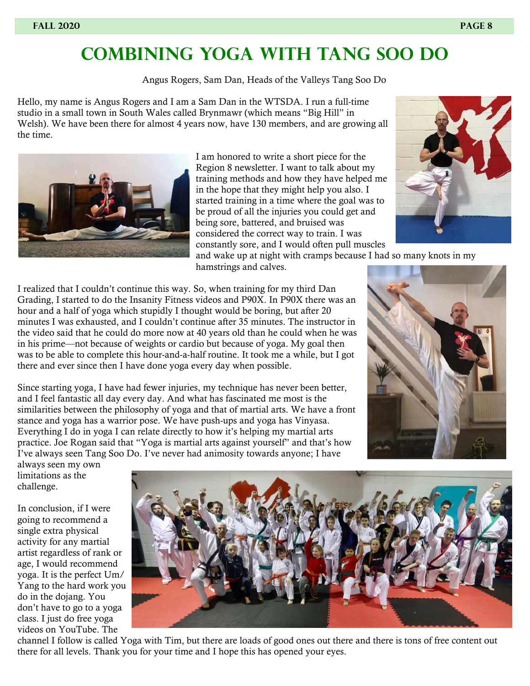### **COMBINING YOGA WITH TANG SOO DO**

Angus Rogers, Sam Dan, Heads of the Valleys Tang Soo Do

Hello, my name is Angus Rogers and I am a Sam Dan in the WTSDA. I run a full-time studio in a small town in South Wales called Brynmawr (which means "Big Hill" in Welsh). We have been there for almost 4 years now, have 130 members, and are growing all the time.



I am honored to write a short piece for the Region 8 newsletter. I want to talk about my training methods and how they have helped me in the hope that they might help you also. I started training in a time where the goal was to be proud of all the injuries you could get and being sore, battered, and bruised was considered the correct way to train. I was constantly sore, and I would often pull muscles



and wake up at night with cramps because I had so many knots in my hamstrings and calves.

I realized that I couldn't continue this way. So, when training for my third Dan Grading, I started to do the Insanity Fitness videos and P90X. In P90X there was an hour and a half of yoga which stupidly I thought would be boring, but after 20 minutes I was exhausted, and I couldn't continue after 35 minutes. The instructor in the video said that he could do more now at 40 years old than he could when he was in his prime—not because of weights or cardio but because of yoga. My goal then was to be able to complete this hour-and-a-half routine. It took me a while, but I got there and ever since then I have done yoga every day when possible.

Since starting yoga, I have had fewer injuries, my technique has never been better, and I feel fantastic all day every day. And what has fascinated me most is the similarities between the philosophy of yoga and that of martial arts. We have a front stance and yoga has a warrior pose. We have push-ups and yoga has Vinyasa. Everything I do in yoga I can relate directly to how it's helping my martial arts practice. Joe Rogan said that "Yoga is martial arts against yourself" and that's how I've always seen Tang Soo Do. I've never had animosity towards anyone; I have



always seen my own limitations as the challenge.

In conclusion, if I were going to recommend a single extra physical activity for any martial artist regardless of rank or age, I would recommend yoga. It is the perfect Um/ Yang to the hard work you do in the dojang. You don't have to go to a yoga class. I just do free yoga videos on YouTube. The



channel I follow is called Yoga with Tim, but there are loads of good ones out there and there is tons of free content out there for all levels. Thank you for your time and I hope this has opened your eyes.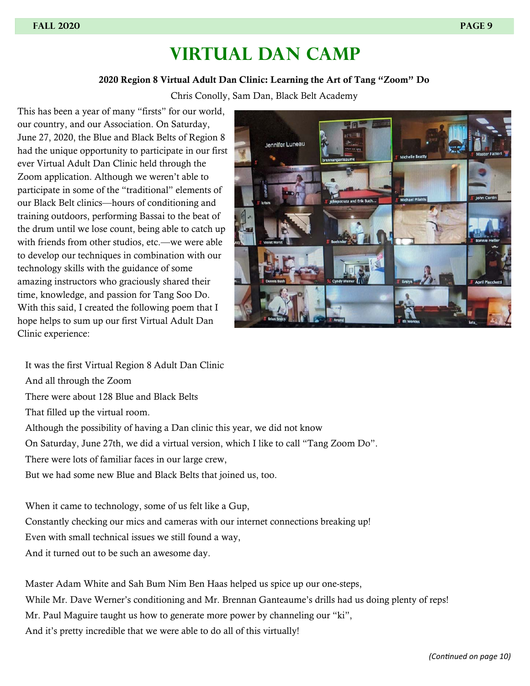### **VIRTUAL DAN CAMP**

#### 2020 Region 8 Virtual Adult Dan Clinic: Learning the Art of Tang "Zoom" Do

Chris Conolly, Sam Dan, Black Belt Academy

This has been a year of many "firsts" for our world, our country, and our Association. On Saturday, June 27, 2020, the Blue and Black Belts of Region 8 had the unique opportunity to participate in our first ever Virtual Adult Dan Clinic held through the Zoom application. Although we weren't able to participate in some of the "traditional" elements of our Black Belt clinics—hours of conditioning and training outdoors, performing Bassai to the beat of the drum until we lose count, being able to catch up with friends from other studios, etc.—we were able to develop our techniques in combination with our technology skills with the guidance of some amazing instructors who graciously shared their time, knowledge, and passion for Tang Soo Do. With this said, I created the following poem that I hope helps to sum up our first Virtual Adult Dan Clinic experience:



It was the first Virtual Region 8 Adult Dan Clinic And all through the Zoom There were about 128 Blue and Black Belts That filled up the virtual room. Although the possibility of having a Dan clinic this year, we did not know On Saturday, June 27th, we did a virtual version, which I like to call "Tang Zoom Do". There were lots of familiar faces in our large crew, But we had some new Blue and Black Belts that joined us, too. When it came to technology, some of us felt like a Gup,

Constantly checking our mics and cameras with our internet connections breaking up! Even with small technical issues we still found a way, And it turned out to be such an awesome day.

Master Adam White and Sah Bum Nim Ben Haas helped us spice up our one-steps, While Mr. Dave Werner's conditioning and Mr. Brennan Ganteaume's drills had us doing plenty of reps! Mr. Paul Maguire taught us how to generate more power by channeling our "ki", And it's pretty incredible that we were able to do all of this virtually!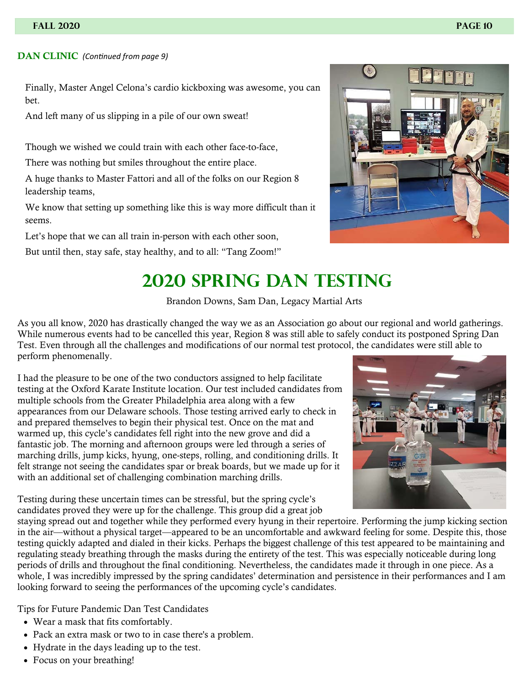#### **DAN CLINIC** (Continued from page 9)

Finally, Master Angel Celona's cardio kickboxing was awesome, you can bet.

And left many of us slipping in a pile of our own sweat!

Though we wished we could train with each other face-to-face,

There was nothing but smiles throughout the entire place.

A huge thanks to Master Fattori and all of the folks on our Region 8 leadership teams,

We know that setting up something like this is way more difficult than it seems.

Let's hope that we can all train in-person with each other soon,

But until then, stay safe, stay healthy, and to all: "Tang Zoom!"



## **2020 SPRING DAN TESTING**

Brandon Downs, Sam Dan, Legacy Martial Arts

As you all know, 2020 has drastically changed the way we as an Association go about our regional and world gatherings. While numerous events had to be cancelled this year, Region 8 was still able to safely conduct its postponed Spring Dan Test. Even through all the challenges and modifications of our normal test protocol, the candidates were still able to perform phenomenally.

I had the pleasure to be one of the two conductors assigned to help facilitate testing at the Oxford Karate Institute location. Our test included candidates from multiple schools from the Greater Philadelphia area along with a few appearances from our Delaware schools. Those testing arrived early to check in and prepared themselves to begin their physical test. Once on the mat and warmed up, this cycle's candidates fell right into the new grove and did a fantastic job. The morning and afternoon groups were led through a series of marching drills, jump kicks, hyung, one-steps, rolling, and conditioning drills. It felt strange not seeing the candidates spar or break boards, but we made up for it with an additional set of challenging combination marching drills.

Testing during these uncertain times can be stressful, but the spring cycle's candidates proved they were up for the challenge. This group did a great job



staying spread out and together while they performed every hyung in their repertoire. Performing the jump kicking section in the air—without a physical target—appeared to be an uncomfortable and awkward feeling for some. Despite this, those testing quickly adapted and dialed in their kicks. Perhaps the biggest challenge of this test appeared to be maintaining and regulating steady breathing through the masks during the entirety of the test. This was especially noticeable during long periods of drills and throughout the final conditioning. Nevertheless, the candidates made it through in one piece. As a whole, I was incredibly impressed by the spring candidates' determination and persistence in their performances and I am looking forward to seeing the performances of the upcoming cycle's candidates.

Tips for Future Pandemic Dan Test Candidates

- Wear a mask that fits comfortably.
- Pack an extra mask or two to in case there's a problem.
- Hydrate in the days leading up to the test.
- Focus on your breathing!